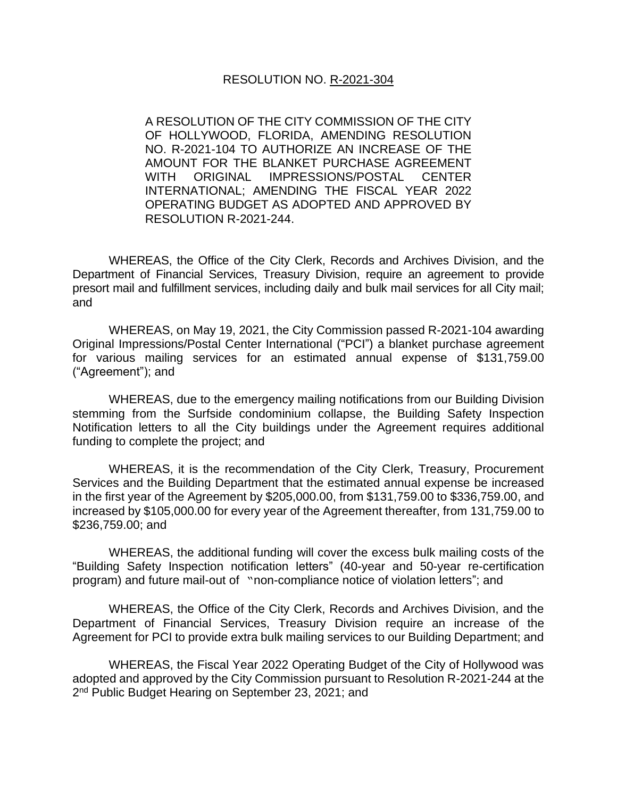A RESOLUTION OF THE CITY COMMISSION OF THE CITY OF HOLLYWOOD, FLORIDA, AMENDING RESOLUTION NO. R-2021-104 TO AUTHORIZE AN INCREASE OF THE AMOUNT FOR THE BLANKET PURCHASE AGREEMENT WITH ORIGINAL IMPRESSIONS/POSTAL CENTER INTERNATIONAL; AMENDING THE FISCAL YEAR 2022 OPERATING BUDGET AS ADOPTED AND APPROVED BY RESOLUTION R-2021-244.

WHEREAS, the Office of the City Clerk, Records and Archives Division, and the Department of Financial Services, Treasury Division, require an agreement to provide presort mail and fulfillment services, including daily and bulk mail services for all City mail; and

WHEREAS, on May 19, 2021, the City Commission passed R-2021-104 awarding Original Impressions/Postal Center International ("PCI") a blanket purchase agreement for various mailing services for an estimated annual expense of \$131,759.00 ("Agreement"); and

WHEREAS, due to the emergency mailing notifications from our Building Division stemming from the Surfside condominium collapse, the Building Safety Inspection Notification letters to all the City buildings under the Agreement requires additional funding to complete the project; and

WHEREAS, it is the recommendation of the City Clerk, Treasury, Procurement Services and the Building Department that the estimated annual expense be increased in the first year of the Agreement by \$205,000.00, from \$131,759.00 to \$336,759.00, and increased by \$105,000.00 for every year of the Agreement thereafter, from 131,759.00 to \$236,759.00; and

WHEREAS, the additional funding will cover the excess bulk mailing costs of the "Building Safety Inspection notification letters" (40-year and 50-year re-certification program) and future mail-out of "non-compliance notice of violation letters"; and

WHEREAS, the Office of the City Clerk, Records and Archives Division, and the Department of Financial Services, Treasury Division require an increase of the Agreement for PCI to provide extra bulk mailing services to our Building Department; and

WHEREAS, the Fiscal Year 2022 Operating Budget of the City of Hollywood was adopted and approved by the City Commission pursuant to Resolution R-2021-244 at the 2<sup>nd</sup> Public Budget Hearing on September 23, 2021; and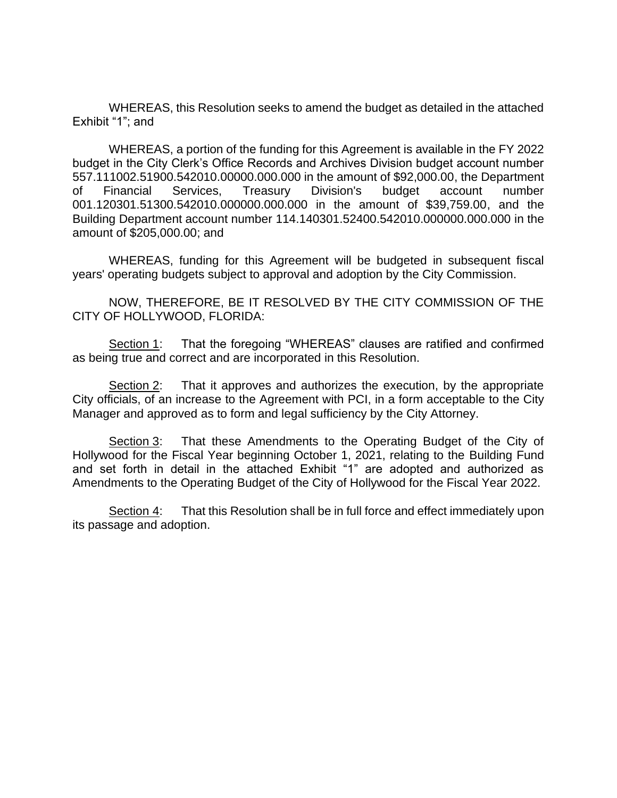WHEREAS, this Resolution seeks to amend the budget as detailed in the attached Exhibit "1"; and

WHEREAS, a portion of the funding for this Agreement is available in the FY 2022 budget in the City Clerk's Office Records and Archives Division budget account number 557.111002.51900.542010.00000.000.000 in the amount of \$92,000.00, the Department of Financial Services, Treasury Division's budget account number 001.120301.51300.542010.000000.000.000 in the amount of \$39,759.00, and the Building Department account number 114.140301.52400.542010.000000.000.000 in the amount of \$205,000.00; and

WHEREAS, funding for this Agreement will be budgeted in subsequent fiscal years' operating budgets subject to approval and adoption by the City Commission.

NOW, THEREFORE, BE IT RESOLVED BY THE CITY COMMISSION OF THE CITY OF HOLLYWOOD, FLORIDA:

Section 1: That the foregoing "WHEREAS" clauses are ratified and confirmed as being true and correct and are incorporated in this Resolution.

Section 2: That it approves and authorizes the execution, by the appropriate City officials, of an increase to the Agreement with PCI, in a form acceptable to the City Manager and approved as to form and legal sufficiency by the City Attorney.

Section 3: That these Amendments to the Operating Budget of the City of Hollywood for the Fiscal Year beginning October 1, 2021, relating to the Building Fund and set forth in detail in the attached Exhibit "1" are adopted and authorized as Amendments to the Operating Budget of the City of Hollywood for the Fiscal Year 2022.

Section 4: That this Resolution shall be in full force and effect immediately upon its passage and adoption.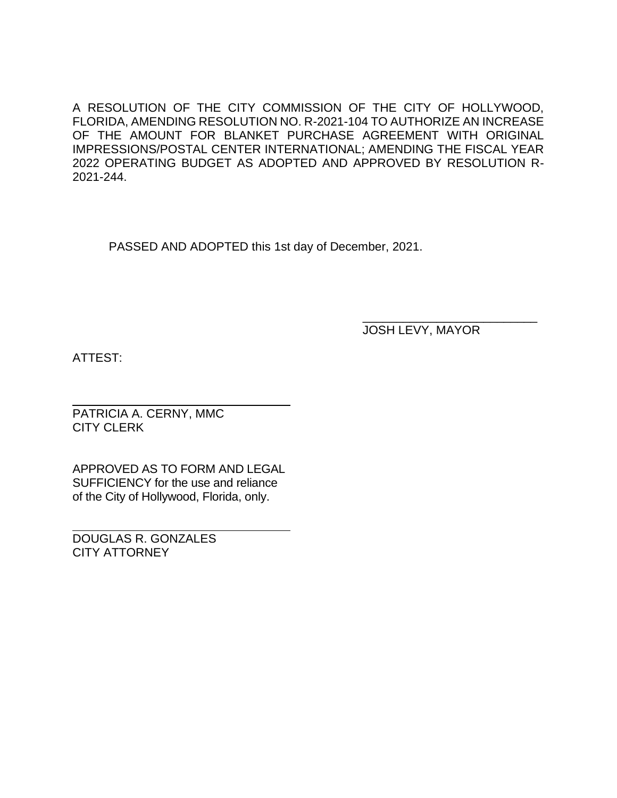A RESOLUTION OF THE CITY COMMISSION OF THE CITY OF HOLLYWOOD, FLORIDA, AMENDING RESOLUTION NO. R-2021-104 TO AUTHORIZE AN INCREASE OF THE AMOUNT FOR BLANKET PURCHASE AGREEMENT WITH ORIGINAL IMPRESSIONS/POSTAL CENTER INTERNATIONAL; AMENDING THE FISCAL YEAR 2022 OPERATING BUDGET AS ADOPTED AND APPROVED BY RESOLUTION R-2021-244.

PASSED AND ADOPTED this 1st day of December, 2021.

\_\_\_\_\_\_\_\_\_\_\_\_\_\_\_\_\_\_\_\_\_\_\_\_\_\_ JOSH LEVY, MAYOR

ATTEST:

PATRICIA A. CERNY, MMC CITY CLERK

APPROVED AS TO FORM AND LEGAL SUFFICIENCY for the use and reliance of the City of Hollywood, Florida, only.

DOUGLAS R. GONZALES CITY ATTORNEY